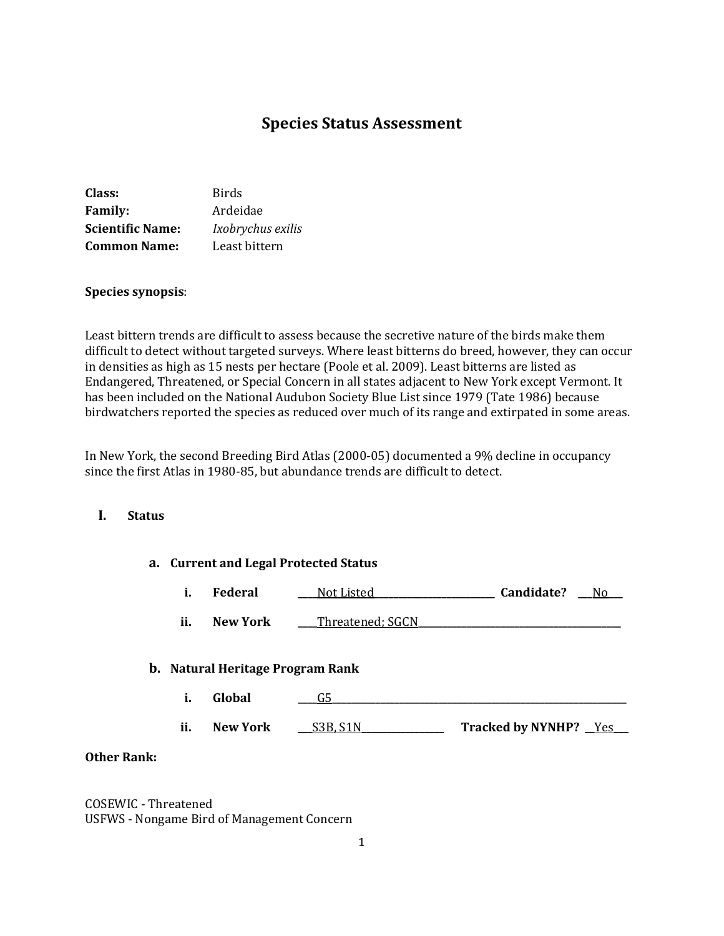# **Species Status Assessment**

| Class:                  | Birds             |
|-------------------------|-------------------|
| <b>Family:</b>          | Ardeidae          |
| <b>Scientific Name:</b> | Ixobrychus exilis |
| <b>Common Name:</b>     | Least bittern     |

### **Species synopsis**:

Least bittern trends are difficult to assess because the secretive nature of the birds make them difficult to detect without targeted surveys. Where least bitterns do breed, however, they can occur in densities as high as 15 nests per hectare (Poole et al. 2009). Least bitterns are listed as Endangered, Threatened, or Special Concern in all states adjacent to New York except Vermont. It has been included on the National Audubon Society Blue List since 1979 (Tate 1986) because birdwatchers reported the species as reduced over much of its range and extirpated in some areas.

In New York, the second Breeding Bird Atlas (2000-05) documented a 9% decline in occupancy since the first Atlas in 1980-85, but abundance trends are difficult to detect.

### **I. Status**

|     |                                         | a. Current and Legal Protected Status |                        |                |
|-----|-----------------------------------------|---------------------------------------|------------------------|----------------|
| i.  | <b>Federal</b>                          | Not Listed_                           | Candidate?             | N <sub>0</sub> |
| ii. | New York                                | Threatened; SGCN                      |                        |                |
|     | <b>b.</b> Natural Heritage Program Rank |                                       |                        |                |
| i.  | Global                                  | G5                                    |                        |                |
| ii. | <b>New York</b>                         | S3B. S1N                              | Tracked by NYNHP? _Yes |                |

## **Other Rank:**

COSEWIC - Threatened USFWS - Nongame Bird of Management Concern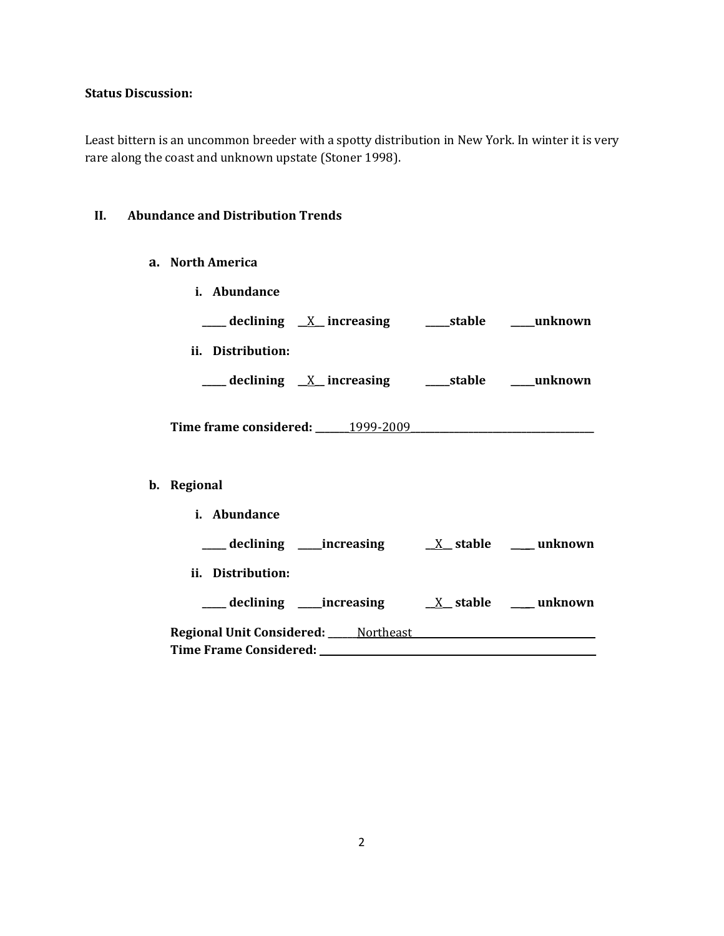## **Status Discussion:**

Least bittern is an uncommon breeder with a spotty distribution in New York. In winter it is very rare along the coast and unknown upstate (Stoner 1998).

## **II. Abundance and Distribution Trends**

**a. North America**

| i. Abundance      |                                                               |  |
|-------------------|---------------------------------------------------------------|--|
|                   | ____ declining <u>X</u> _increasing ______stable _____unknown |  |
| ii. Distribution: |                                                               |  |
|                   | ____ declining <u>X</u> _increasing ______stable _____unknown |  |
|                   |                                                               |  |
|                   |                                                               |  |
| b. Regional       |                                                               |  |
| i. Abundance      |                                                               |  |
|                   |                                                               |  |
| ii. Distribution: |                                                               |  |
|                   |                                                               |  |
|                   |                                                               |  |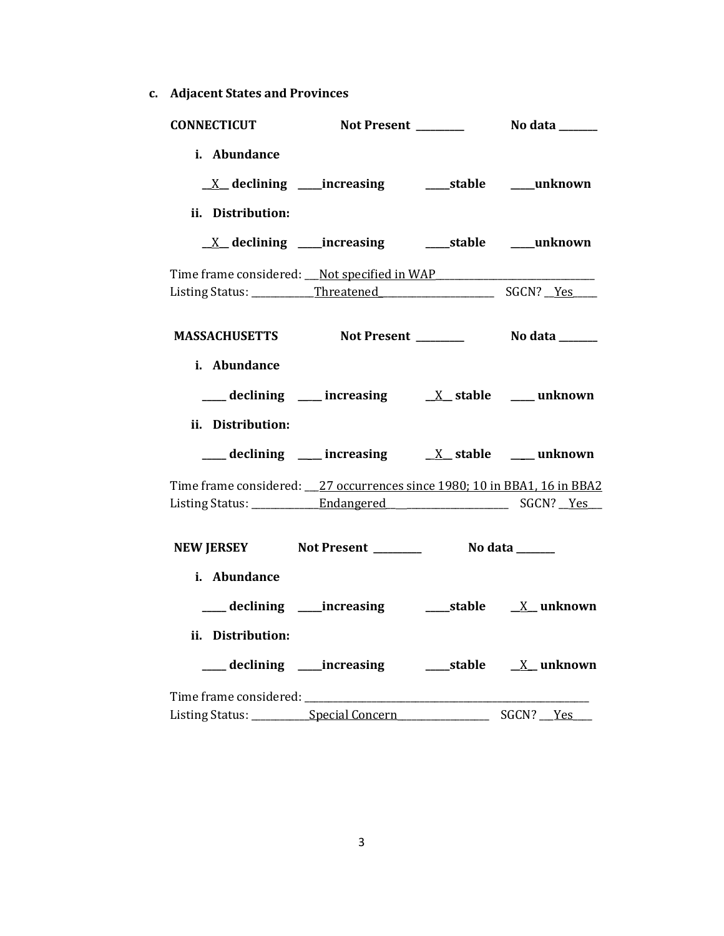**c. Adjacent States and Provinces**

| <b>CONNECTICUT</b>                |                                                                                                                                                                                                                                |                 |  |
|-----------------------------------|--------------------------------------------------------------------------------------------------------------------------------------------------------------------------------------------------------------------------------|-----------------|--|
| i. Abundance<br>ii. Distribution: |                                                                                                                                                                                                                                |                 |  |
|                                   |                                                                                                                                                                                                                                |                 |  |
|                                   | Time frame considered: Not specified in WAP Time frame and the set of the set of the set of the set of the set of the set of the set of the set of the set of the set of the set of the set of the set of the set of the set o |                 |  |
|                                   | MASSACHUSETTS Not Present Modata Modata                                                                                                                                                                                        |                 |  |
| i. Abundance<br>ii. Distribution: | $\frac{1}{\sqrt{2}}$ declining $\frac{1}{\sqrt{2}}$ increasing $\frac{1}{\sqrt{2}}$ stable $\frac{1}{\sqrt{2}}$ unknown                                                                                                        |                 |  |
|                                   | declining ___ increasing ___ x_ stable ___ unknown                                                                                                                                                                             |                 |  |
|                                   | Time frame considered: __27 occurrences since 1980; 10 in BBA1, 16 in BBA2                                                                                                                                                     |                 |  |
|                                   | NEW JERSEY Not Present _______                                                                                                                                                                                                 | No data _______ |  |
| i. Abundance<br>ii. Distribution: |                                                                                                                                                                                                                                |                 |  |
|                                   |                                                                                                                                                                                                                                |                 |  |
|                                   |                                                                                                                                                                                                                                |                 |  |
|                                   |                                                                                                                                                                                                                                |                 |  |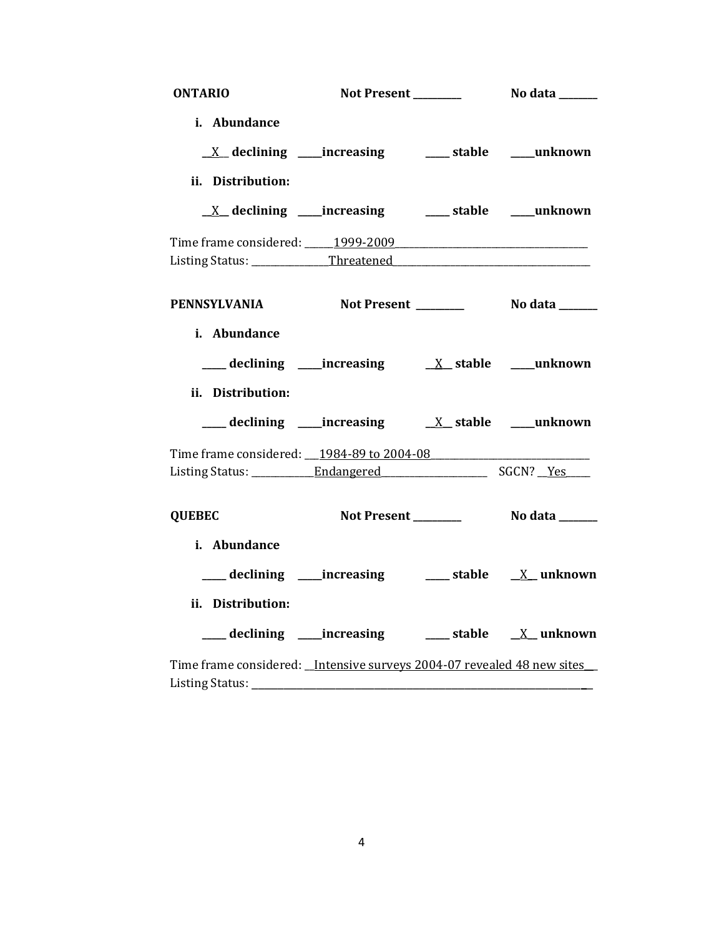| <b>ONTARIO</b>                                                          |                                                                          |                |
|-------------------------------------------------------------------------|--------------------------------------------------------------------------|----------------|
| i. Abundance                                                            |                                                                          |                |
|                                                                         | $\underline{X}$ declining ____increasing ___________stable ______unknown |                |
| ii. Distribution:                                                       |                                                                          |                |
|                                                                         | <u>X</u> declining ____increasing ______ stable ____unknown              |                |
| Time frame considered: 1999-2009 [1999-2009]                            |                                                                          |                |
|                                                                         |                                                                          |                |
| PENNSYLVANIA Not Present ________                                       |                                                                          | No data ______ |
| i. Abundance                                                            |                                                                          |                |
|                                                                         |                                                                          |                |
| ii. Distribution:                                                       |                                                                          |                |
|                                                                         |                                                                          |                |
| Time frame considered: __1984-89 to 2004-08                             |                                                                          |                |
|                                                                         |                                                                          |                |
| <b>QUEBEC</b>                                                           |                                                                          |                |
| i. Abundance                                                            |                                                                          |                |
|                                                                         | ___ declining ____increasing _____ stable ___ X__ unknown                |                |
| ii. Distribution:                                                       |                                                                          |                |
|                                                                         | ___ declining ____increasing ______ stable ___ X__ unknown               |                |
| Time frame considered: _Intensive surveys 2004-07 revealed 48 new sites |                                                                          |                |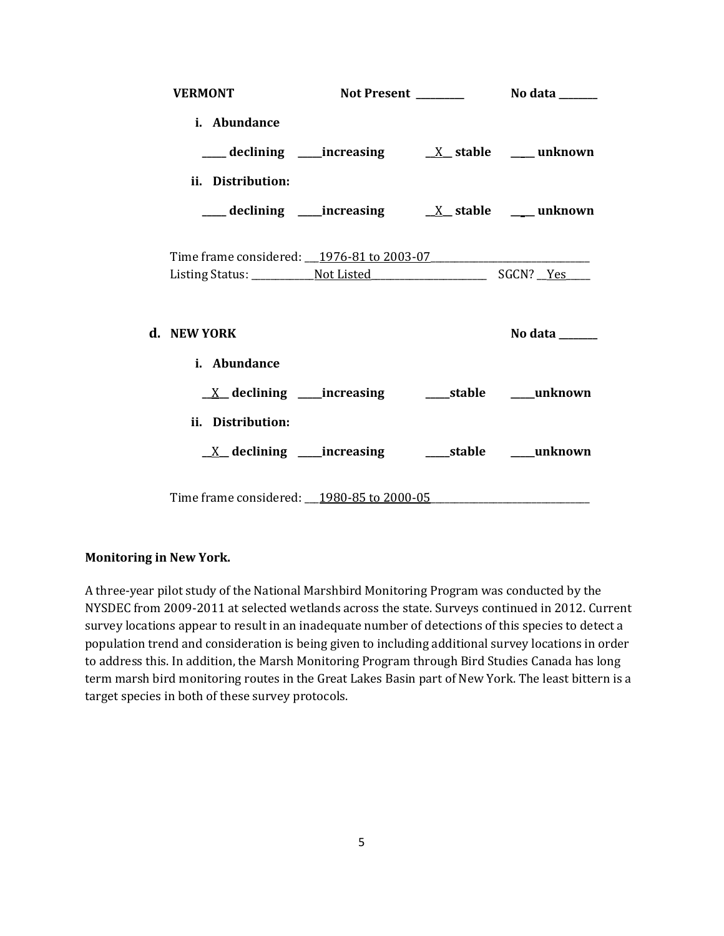| <b>VERMONT</b>                                                          |  |                |
|-------------------------------------------------------------------------|--|----------------|
| i. Abundance                                                            |  |                |
|                                                                         |  |                |
| ii. Distribution:                                                       |  |                |
|                                                                         |  |                |
|                                                                         |  |                |
| Time frame considered: 1976-81 to 2003-07                               |  |                |
|                                                                         |  |                |
| d. NEW YORK                                                             |  | No data $\_\_$ |
| i. Abundance                                                            |  |                |
|                                                                         |  |                |
| ii. Distribution:                                                       |  |                |
| $\underline{X}$ declining ____increasing __________stable ______unknown |  |                |
| Time frame considered: __ 1980-85 to 2000-05                            |  |                |

### **Monitoring in New York.**

A three-year pilot study of the National Marshbird Monitoring Program was conducted by the NYSDEC from 2009-2011 at selected wetlands across the state. Surveys continued in 2012. Current survey locations appear to result in an inadequate number of detections of this species to detect a population trend and consideration is being given to including additional survey locations in order to address this. In addition, the Marsh Monitoring Program through Bird Studies Canada has long term marsh bird monitoring routes in the Great Lakes Basin part of New York. The least bittern is a target species in both of these survey protocols.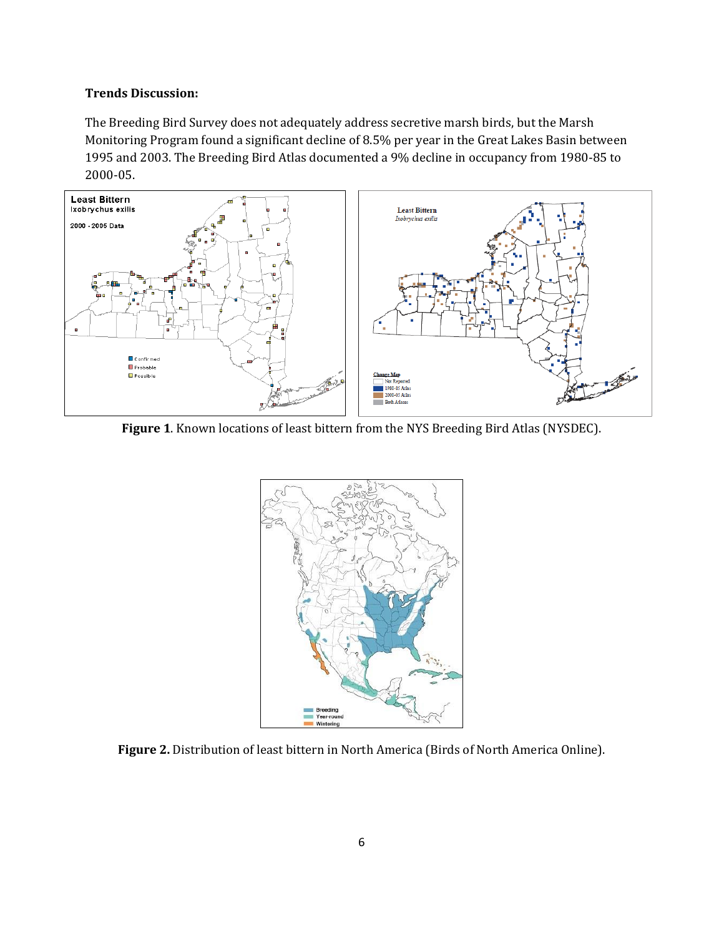### **Trends Discussion:**

The Breeding Bird Survey does not adequately address secretive marsh birds, but the Marsh Monitoring Program found a significant decline of 8.5% per year in the Great Lakes Basin between 1995 and 2003. The Breeding Bird Atlas documented a 9% decline in occupancy from 1980-85 to 2000-05.



**Figure 1**. Known locations of least bittern from the NYS Breeding Bird Atlas (NYSDEC).



**Figure 2.** Distribution of least bittern in North America (Birds of North America Online).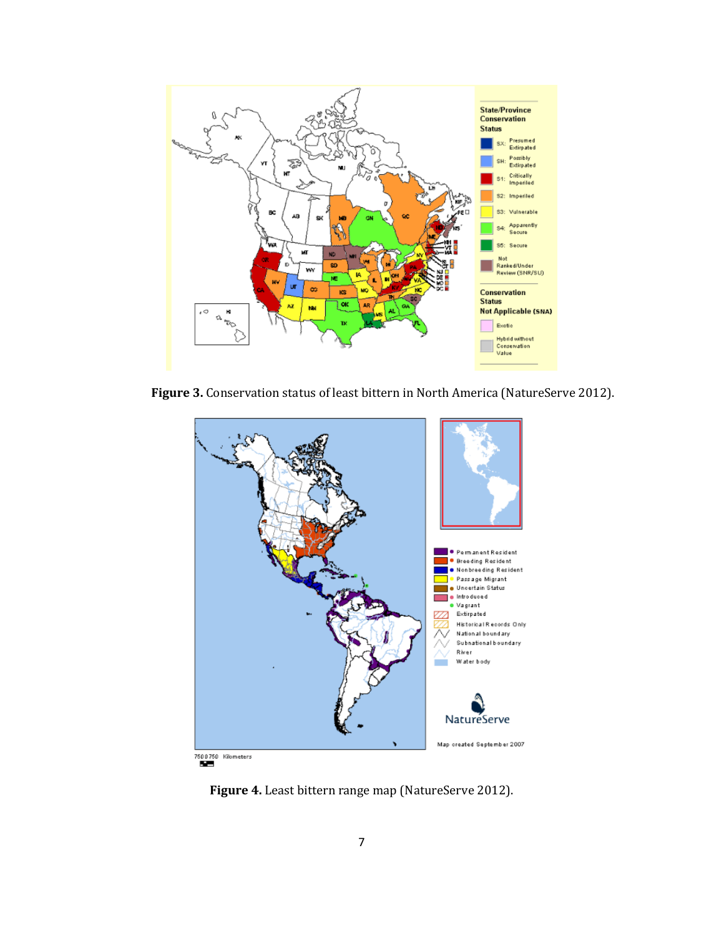

**Figure 3.** Conservation status of least bittern in North America (NatureServe 2012).



**Figure 4.** Least bittern range map (NatureServe 2012).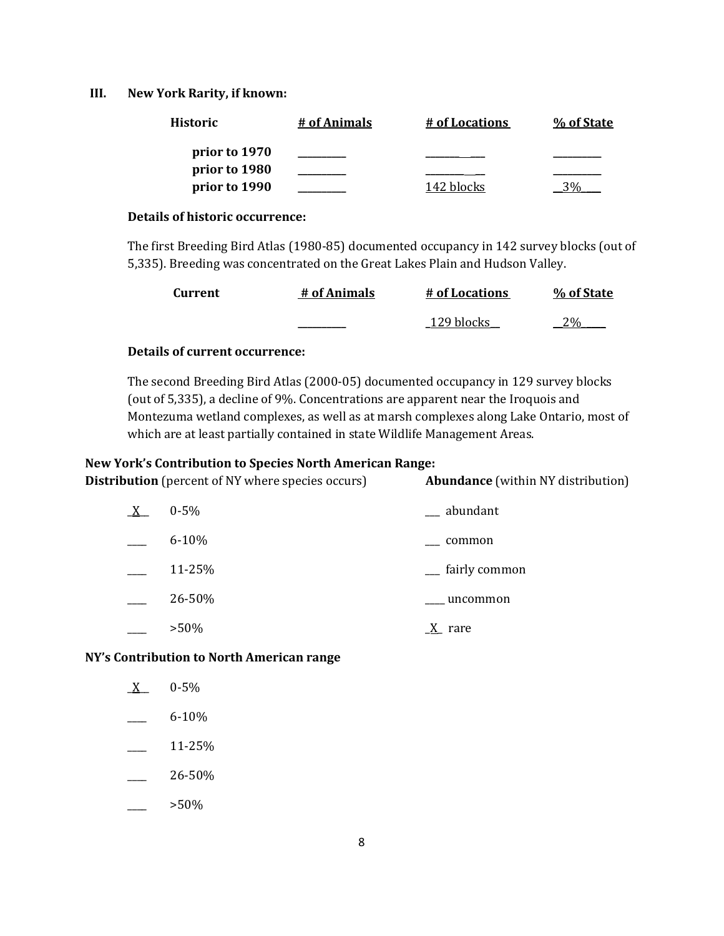#### **III. New York Rarity, if known:**

| <b>Historic</b> | # of Animals | # of Locations | % of State |
|-----------------|--------------|----------------|------------|
| prior to 1970   |              |                |            |
| prior to 1980   |              |                |            |
| prior to 1990   |              | 142 blocks     |            |

#### **Details of historic occurrence:**

The first Breeding Bird Atlas (1980-85) documented occupancy in 142 survey blocks (out of 5,335). Breeding was concentrated on the Great Lakes Plain and Hudson Valley.

| <b>Current</b> | # of Animals | # of Locations | % of State |
|----------------|--------------|----------------|------------|
|                |              | 129 blocks     |            |

### **Details of current occurrence:**

The second Breeding Bird Atlas (2000-05) documented occupancy in 129 survey blocks (out of 5,335), a decline of 9%. Concentrations are apparent near the Iroquois and Montezuma wetland complexes, as well as at marsh complexes along Lake Ontario, most of which are at least partially contained in state Wildlife Management Areas.

#### **New York's Contribution to Species North American Range:**

**Distribution** (percent of NY where species occurs) **Abundance** (within NY distribution)

| $0 - 5\%$ | __ abundant                |
|-----------|----------------------------|
| $6 - 10%$ | common                     |
| 11-25%    | <sub>-</sub> fairly common |
| 26-50%    | uncommon                   |
| $>50\%$   | rare                       |

#### **NY's Contribution to North American range**

| X | $0 - 5%$  |
|---|-----------|
|   | $6 - 10%$ |

- \_\_\_\_ 11-25%
- $-26 50\%$
- $>50\%$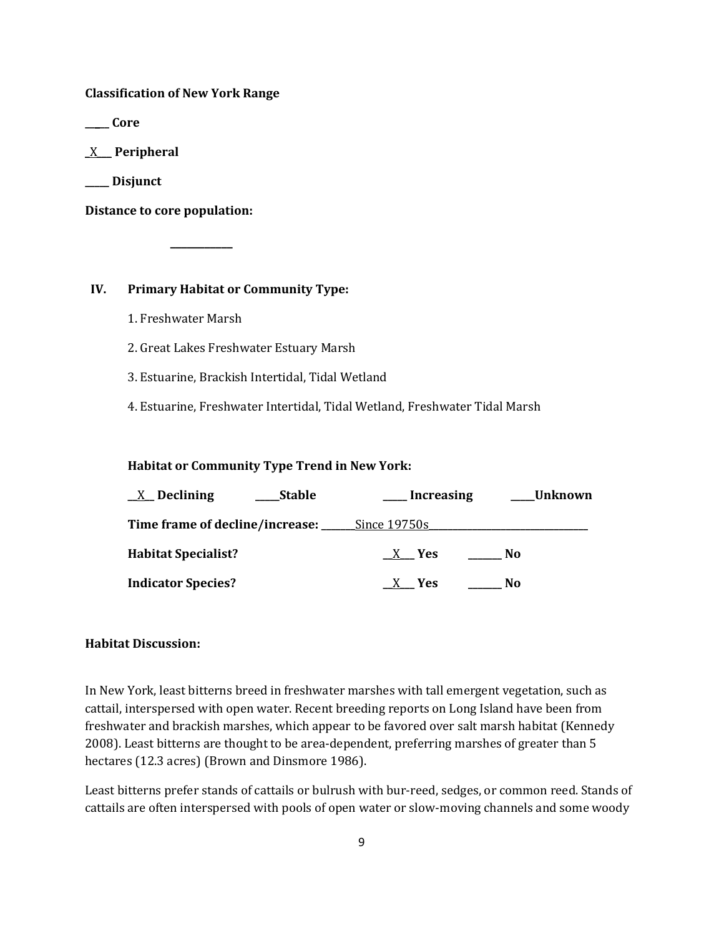**Classification of New York Range**

**\_\_\_\_\_ Core**

\_X\_\_\_ **Peripheral**

**\_\_\_\_\_ Disjunct**

**Distance to core population:**

### **IV. Primary Habitat or Community Type:**

**\_\_\_\_\_\_\_\_\_\_\_**

1. Freshwater Marsh

2. Great Lakes Freshwater Estuary Marsh

3. Estuarine, Brackish Intertidal, Tidal Wetland

4. Estuarine, Freshwater Intertidal, Tidal Wetland, Freshwater Tidal Marsh

#### **Habitat or Community Type Trend in New York:**

| $X$ Declining                                        | Stable | Increasing | ____Unknown |  |
|------------------------------------------------------|--------|------------|-------------|--|
| Time frame of decline/increase: ________Since 19750s |        |            |             |  |
| <b>Habitat Specialist?</b>                           |        | $X$ Yes    | No.         |  |
| <b>Indicator Species?</b>                            |        | $X$ Yes    | No          |  |

#### **Habitat Discussion:**

In New York, least bitterns breed in freshwater marshes with tall emergent vegetation, such as cattail, interspersed with open water. Recent breeding reports on Long Island have been from freshwater and brackish marshes, which appear to be favored over salt marsh habitat (Kennedy 2008). Least bitterns are thought to be area-dependent, preferring marshes of greater than 5 hectares (12.3 acres) (Brown and Dinsmore 1986).

Least bitterns prefer stands of cattails or bulrush with bur-reed, sedges, or common reed. Stands of cattails are often interspersed with pools of open water or slow-moving channels and some woody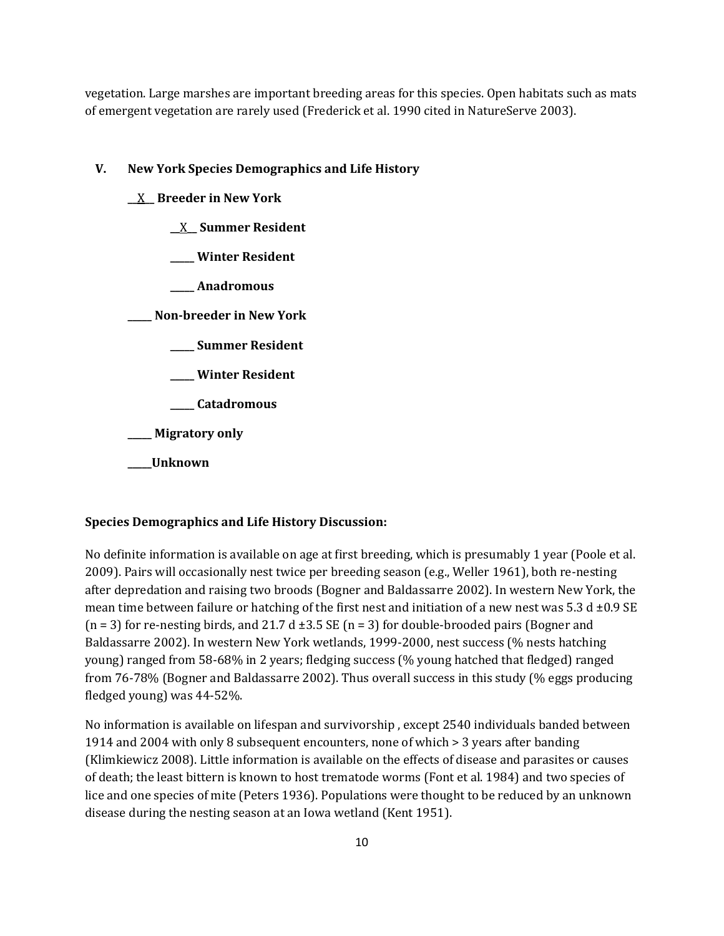vegetation. Large marshes are important breeding areas for this species. Open habitats such as mats of emergent vegetation are rarely used (Frederick et al. 1990 cited in NatureServe 2003).

### **V. New York Species Demographics and Life History**

- **\_\_**X**\_\_ Breeder in New York**
	- **\_\_**X**\_\_ Summer Resident**
	- **\_\_\_\_\_ Winter Resident**
	- **\_\_\_\_\_ Anadromous**

**\_\_\_\_\_ Non-breeder in New York**

- **\_\_\_\_\_ Summer Resident**
- **\_\_\_\_\_ Winter Resident**
- **\_\_\_\_\_ Catadromous**

**\_\_\_\_\_ Migratory only**

**\_\_\_\_\_Unknown**

### **Species Demographics and Life History Discussion:**

No definite information is available on age at first breeding, which is presumably 1 year (Poole et al. 2009). Pairs will occasionally nest twice per breeding season (e.g., Weller 1961), both re-nesting after depredation and raising two broods (Bogner and Baldassarre 2002). In western New York, the mean time between failure or hatching of the first nest and initiation of a new nest was 5.3 d  $\pm$ 0.9 SE  $(n = 3)$  for re-nesting birds, and 21.7 d  $\pm 3.5$  SE  $(n = 3)$  for double-brooded pairs (Bogner and Baldassarre 2002). In western New York wetlands, 1999-2000, nest success (% nests hatching young) ranged from 58-68% in 2 years; fledging success (% young hatched that fledged) ranged from 76-78% (Bogner and Baldassarre 2002). Thus overall success in this study (% eggs producing fledged young) was 44-52%.

No information is available on lifespan and survivorship , except 2540 individuals banded between 1914 and 2004 with only 8 subsequent encounters, none of which > 3 years after banding (Klimkiewicz 2008). Little information is available on the effects of disease and parasites or causes of death; the least bittern is known to host trematode worms (Font et al. 1984) and two species of lice and one species of mite (Peters 1936). Populations were thought to be reduced by an unknown disease during the nesting season at an Iowa wetland (Kent 1951).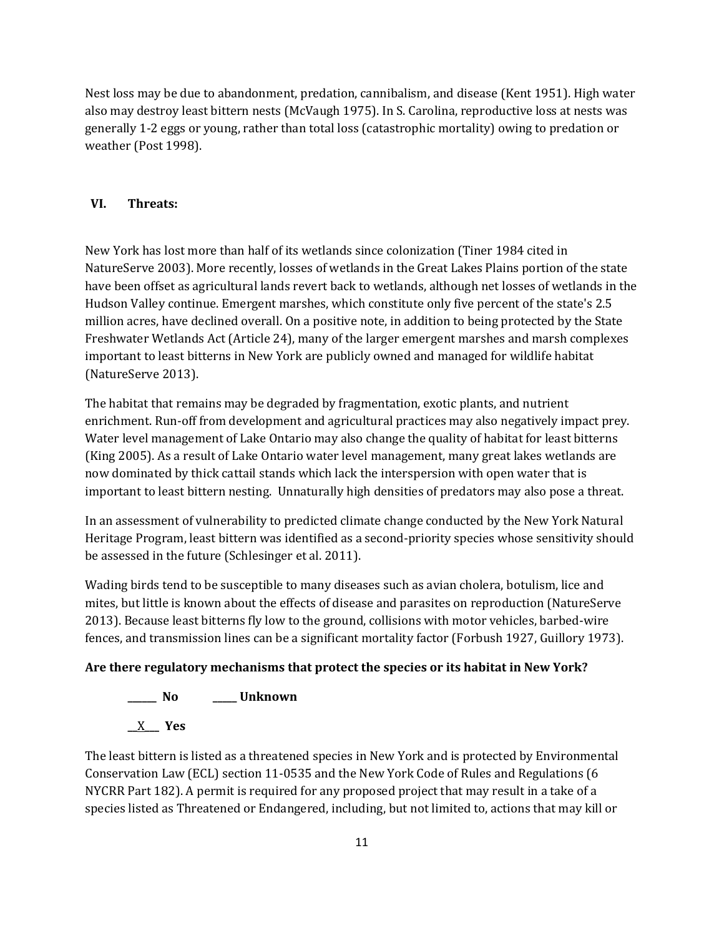Nest loss may be due to abandonment, predation, cannibalism, and disease (Kent 1951). High water also may destroy least bittern nests (McVaugh 1975). In S. Carolina, reproductive loss at nests was generally 1-2 eggs or young, rather than total loss (catastrophic mortality) owing to predation or weather (Post 1998).

### **VI. Threats:**

New York has lost more than half of its wetlands since colonization (Tiner 1984 cited in NatureServe 2003). More recently, losses of wetlands in the Great Lakes Plains portion of the state have been offset as agricultural lands revert back to wetlands, although net losses of wetlands in the Hudson Valley continue. Emergent marshes, which constitute only five percent of the state's 2.5 million acres, have declined overall. On a positive note, in addition to being protected by the State Freshwater Wetlands Act (Article 24), many of the larger emergent marshes and marsh complexes important to least bitterns in New York are publicly owned and managed for wildlife habitat (NatureServe 2013).

The habitat that remains may be degraded by fragmentation, exotic plants, and nutrient enrichment. Run-off from development and agricultural practices may also negatively impact prey. Water level management of Lake Ontario may also change the quality of habitat for least bitterns (King 2005). As a result of Lake Ontario water level management, many great lakes wetlands are now dominated by thick cattail stands which lack the interspersion with open water that is important to least bittern nesting. Unnaturally high densities of predators may also pose a threat.

In an assessment of vulnerability to predicted climate change conducted by the New York Natural Heritage Program, least bittern was identified as a second-priority species whose sensitivity should be assessed in the future (Schlesinger et al. 2011).

Wading birds tend to be susceptible to many diseases such as avian cholera, botulism, lice and mites, but little is known about the effects of disease and parasites on reproduction (NatureServe 2013). Because least bitterns fly low to the ground, collisions with motor vehicles, barbed-wire fences, and transmission lines can be a significant mortality factor (Forbush 1927, Guillory 1973).

#### **Are there regulatory mechanisms that protect the species or its habitat in New York?**

**\_\_\_\_\_\_ No \_\_\_\_\_ Unknown \_\_**X**\_\_\_ Yes** 

The least bittern is listed as a threatened species in New York and is protected by Environmental Conservation Law (ECL) section 11-0535 and the New York Code of Rules and Regulations (6 NYCRR Part 182). A permit is required for any proposed project that may result in a take of a species listed as Threatened or Endangered, including, but not limited to, actions that may kill or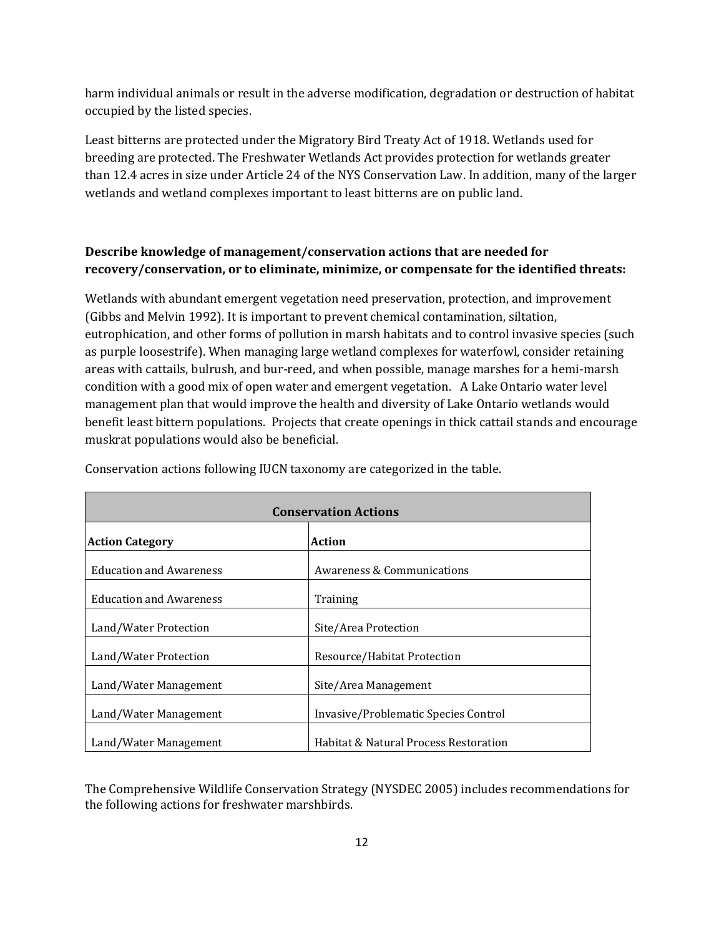harm individual animals or result in the adverse modification, degradation or destruction of habitat occupied by the listed species.

Least bitterns are protected under the Migratory Bird Treaty Act of 1918. Wetlands used for breeding are protected. The Freshwater Wetlands Act provides protection for wetlands greater than 12.4 acres in size under Article 24 of the NYS Conservation Law. In addition, many of the larger wetlands and wetland complexes important to least bitterns are on public land.

## **Describe knowledge of management/conservation actions that are needed for recovery/conservation, or to eliminate, minimize, or compensate for the identified threats:**

Wetlands with abundant emergent vegetation need preservation, protection, and improvement (Gibbs and Melvin 1992). It is important to prevent chemical contamination, siltation, eutrophication, and other forms of pollution in marsh habitats and to control invasive species (such as purple loosestrife). When managing large wetland complexes for waterfowl, consider retaining areas with cattails, bulrush, and bur-reed, and when possible, manage marshes for a hemi-marsh condition with a good mix of open water and emergent vegetation. A Lake Ontario water level management plan that would improve the health and diversity of Lake Ontario wetlands would benefit least bittern populations. Projects that create openings in thick cattail stands and encourage muskrat populations would also be beneficial.

| <b>Conservation Actions</b>    |                                       |  |
|--------------------------------|---------------------------------------|--|
| <b>Action Category</b>         | <b>Action</b>                         |  |
| <b>Education and Awareness</b> | <b>Awareness &amp; Communications</b> |  |
| <b>Education and Awareness</b> | Training                              |  |
| Land/Water Protection          | Site/Area Protection                  |  |
| Land/Water Protection          | Resource/Habitat Protection           |  |
| Land/Water Management          | Site/Area Management                  |  |
| Land/Water Management          | Invasive/Problematic Species Control  |  |
| Land/Water Management          | Habitat & Natural Process Restoration |  |

Conservation actions following IUCN taxonomy are categorized in the table.

The Comprehensive Wildlife Conservation Strategy (NYSDEC 2005) includes recommendations for the following actions for freshwater marshbirds.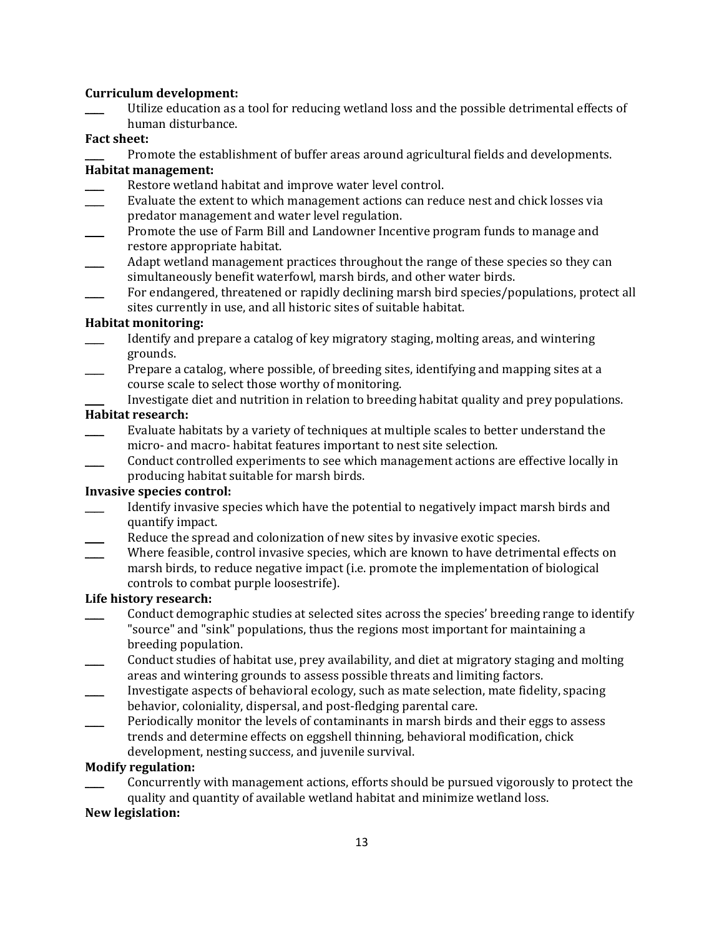#### **Curriculum development:**

Utilize education as a tool for reducing wetland loss and the possible detrimental effects of human disturbance.

#### **Fact sheet:**

Promote the establishment of buffer areas around agricultural fields and developments.

## **Habitat management:**

- Restore wetland habitat and improve water level control.
- Evaluate the extent to which management actions can reduce nest and chick losses via predator management and water level regulation.
- \_\_\_\_ Promote the use of Farm Bill and Landowner Incentive program funds to manage and restore appropriate habitat.
- Adapt wetland management practices throughout the range of these species so they can simultaneously benefit waterfowl, marsh birds, and other water birds.
- For endangered, threatened or rapidly declining marsh bird species/populations, protect all sites currently in use, and all historic sites of suitable habitat.

### **Habitat monitoring:**

- Identify and prepare a catalog of key migratory staging, molting areas, and wintering grounds.
- Prepare a catalog, where possible, of breeding sites, identifying and mapping sites at a course scale to select those worthy of monitoring.
- Investigate diet and nutrition in relation to breeding habitat quality and prey populations.

#### **Habitat research:**

- Evaluate habitats by a variety of techniques at multiple scales to better understand the micro- and macro- habitat features important to nest site selection.
- \_\_\_\_ Conduct controlled experiments to see which management actions are effective locally in producing habitat suitable for marsh birds.

### **Invasive species control:**

- Identify invasive species which have the potential to negatively impact marsh birds and quantify impact.
- Reduce the spread and colonization of new sites by invasive exotic species.
- Where feasible, control invasive species, which are known to have detrimental effects on marsh birds, to reduce negative impact (i.e. promote the implementation of biological controls to combat purple loosestrife).

### **Life history research:**

- \_\_\_\_ Conduct demographic studies at selected sites across the species' breeding range to identify "source" and "sink" populations, thus the regions most important for maintaining a breeding population.
- \_\_\_\_ Conduct studies of habitat use, prey availability, and diet at migratory staging and molting areas and wintering grounds to assess possible threats and limiting factors.
- \_\_\_\_ Investigate aspects of behavioral ecology, such as mate selection, mate fidelity, spacing behavior, coloniality, dispersal, and post-fledging parental care.
- Periodically monitor the levels of contaminants in marsh birds and their eggs to assess trends and determine effects on eggshell thinning, behavioral modification, chick development, nesting success, and juvenile survival.

### **Modify regulation:**

\_\_\_\_ Concurrently with management actions, efforts should be pursued vigorously to protect the quality and quantity of available wetland habitat and minimize wetland loss.

### **New legislation:**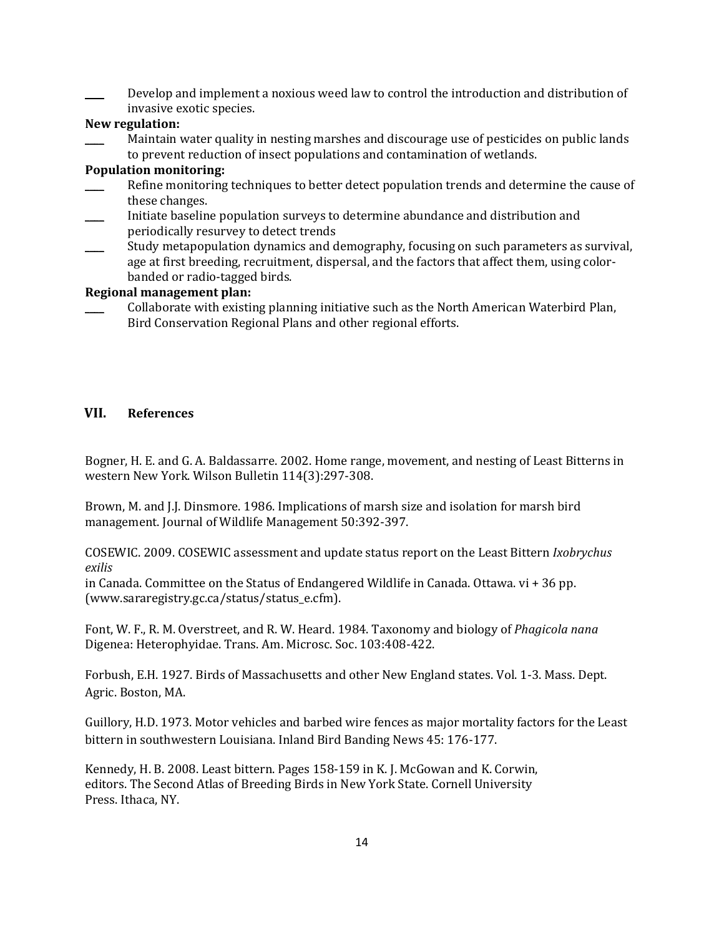Develop and implement a noxious weed law to control the introduction and distribution of invasive exotic species.

### **New regulation:**

Maintain water quality in nesting marshes and discourage use of pesticides on public lands to prevent reduction of insect populations and contamination of wetlands.

### **Population monitoring:**

- Refine monitoring techniques to better detect population trends and determine the cause of these changes.
- \_\_\_\_ Initiate baseline population surveys to determine abundance and distribution and periodically resurvey to detect trends
- Study metapopulation dynamics and demography, focusing on such parameters as survival, age at first breeding, recruitment, dispersal, and the factors that affect them, using colorbanded or radio-tagged birds.

### **Regional management plan:**

\_\_\_\_ Collaborate with existing planning initiative such as the North American Waterbird Plan, Bird Conservation Regional Plans and other regional efforts.

## **VII. References**

Bogner, H. E. and G. A. Baldassarre. 2002. Home range, movement, and nesting of Least Bitterns in western New York. Wilson Bulletin 114(3):297-308.

Brown, M. and J.J. Dinsmore. 1986. Implications of marsh size and isolation for marsh bird management. Journal of Wildlife Management 50:392-397.

COSEWIC. 2009. COSEWIC assessment and update status report on the Least Bittern *Ixobrychus exilis*

in Canada. Committee on the Status of Endangered Wildlife in Canada. Ottawa. vi + 36 pp. (www.sararegistry.gc.ca/status/status\_e.cfm).

Font, W. F., R. M. Overstreet, and R. W. Heard. 1984. Taxonomy and biology of *Phagicola nana* Digenea: Heterophyidae. Trans. Am. Microsc. Soc. 103:408-422.

Forbush, E.H. 1927. Birds of Massachusetts and other New England states. Vol. 1-3. Mass. Dept. Agric. Boston, MA.

Guillory, H.D. 1973. Motor vehicles and barbed wire fences as major mortality factors for the Least bittern in southwestern Louisiana. Inland Bird Banding News 45: 176-177.

Kennedy, H. B. 2008. Least bittern. Pages 158-159 in K. J. McGowan and K. Corwin, editors. The Second Atlas of Breeding Birds in New York State. Cornell University Press. Ithaca, NY.